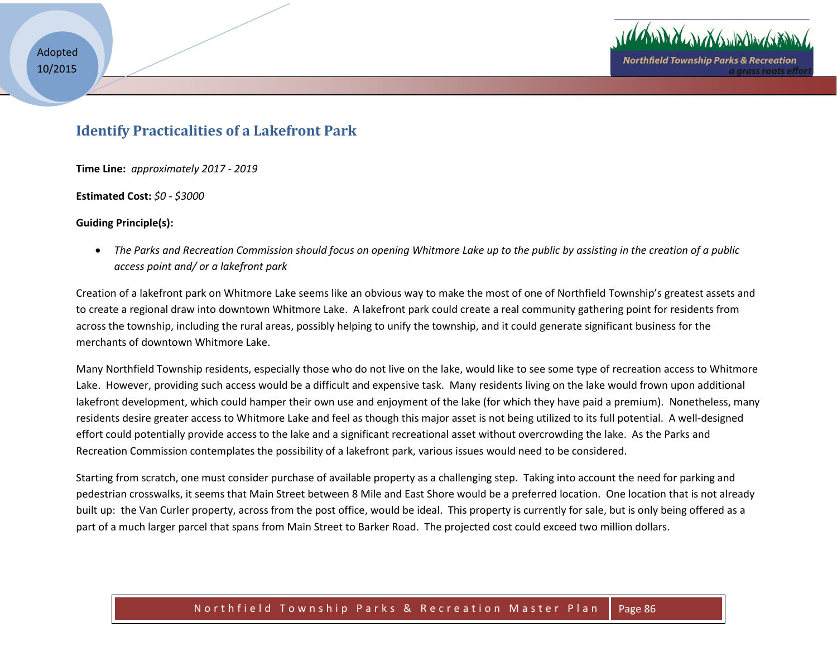

a arass roots effo

## **Identify Practicalities of a Lakefront Park**

**Time Line:** *approximately 2017 - 2019*

**Estimated Cost:** *\$0 - \$3000* 

## **Guiding Principle(s):**

 *The Parks and Recreation Commission should focus on opening Whitmore Lake up to the public by assisting in the creation of a public access point and/ or a lakefront park* 

Creation of a lakefront park on Whitmore Lake seems like an obvious way to make the most of one of Northfield Township's greatest assets and to create a regional draw into downtown Whitmore Lake. A lakefront park could create a real community gathering point for residents from across the township, including the rural areas, possibly helping to unify the township, and it could generate significant business for the merchants of downtown Whitmore Lake.

Many Northfield Township residents, especially those who do not live on the lake, would like to see some type of recreation access to Whitmore Lake. However, providing such access would be a difficult and expensive task. Many residents living on the lake would frown upon additional lakefront development, which could hamper their own use and enjoyment of the lake (for which they have paid a premium). Nonetheless, many residents desire greater access to Whitmore Lake and feel as though this major asset is not being utilized to its full potential. A well-designed effort could potentially provide access to the lake and a significant recreational asset without overcrowding the lake. As the Parks and Recreation Commission contemplates the possibility of a lakefront park, various issues would need to be considered.

Starting from scratch, one must consider purchase of available property as a challenging step. Taking into account the need for parking and pedestrian crosswalks, it seems that Main Street between 8 Mile and East Shore would be a preferred location. One location that is not already built up: the Van Curler property, across from the post office, would be ideal. This property is currently for sale, but is only being offered as a part of a much larger parcel that spans from Main Street to Barker Road. The projected cost could exceed two million dollars.